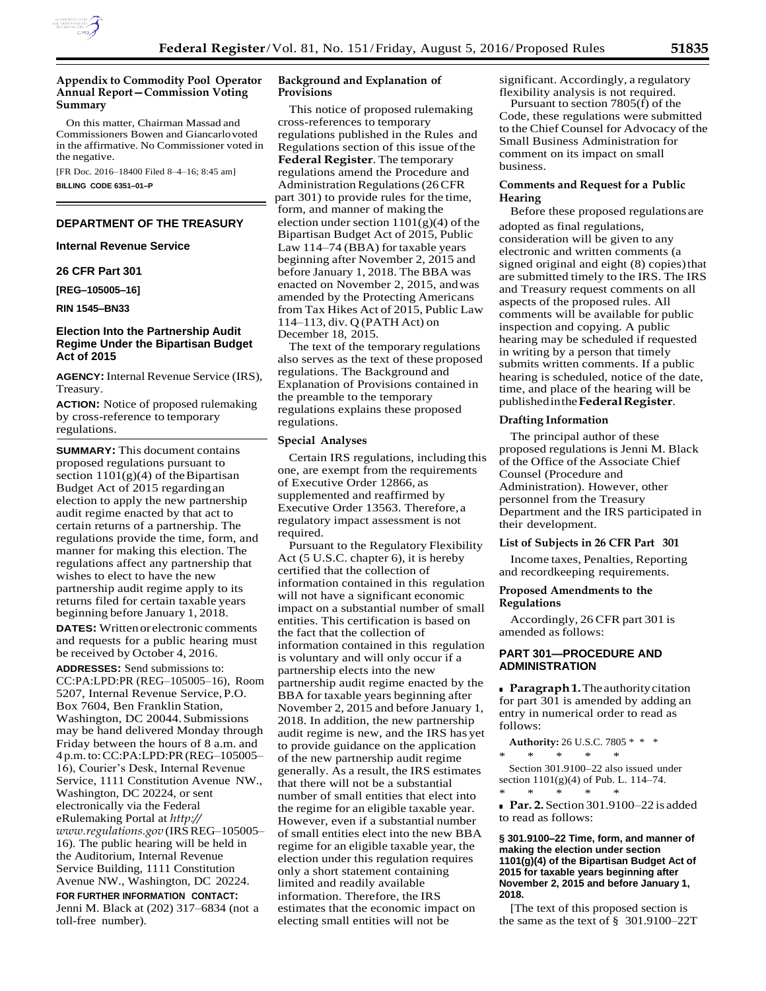

# **Appendix to Commodity Pool Operator Annual Report—Commission Voting Summary**

On this matter, Chairman Massad and Commissioners Bowen and Giancarlovoted in the affirmative. No Commissioner voted in the negative.

[FR Doc. 2016–18400 Filed 8–4–16; 8:45 am] **BILLING CODE 6351–01–P**

# **DEPARTMENT OF THE TREASURY**

**Internal Revenue Service** 

# **26 CFR Part 301**

**[REG–105005–16]** 

### **RIN 1545–BN33**

# **Election Into the Partnership Audit Regime Under the Bipartisan Budget Act of 2015**

**AGENCY:** Internal Revenue Service (IRS), Treasury.

**ACTION:** Notice of proposed rulemaking by cross-reference to temporary regulations.

**SUMMARY:** This document contains proposed regulations pursuant to section  $1101(g)(4)$  of the Bipartisan Budget Act of 2015 regardingan election to apply the new partnership audit regime enacted by that act to certain returns of a partnership. The regulations provide the time, form, and manner for making this election. The regulations affect any partnership that wishes to elect to have the new partnership audit regime apply to its returns filed for certain taxable years beginning before January 1, 2018.

**DATES:** Writtenor electronic comments and requests for a public hearing must be received by October 4, 2016.

**ADDRESSES:** Send submissions to: CC:PA:LPD:PR (REG–105005–16), Room 5207, Internal Revenue Service,P.O. Box 7604, Ben Franklin Station, Washington, DC 20044.Submissions may be hand delivered Monday through Friday between the hours of 8 a.m. and 4 p.m.to:CC:PA:LPD:PR(REG–105005– 16), Courier's Desk, Internal Revenue Service, 1111 Constitution Avenue NW., Washington, DC 20224, or sent electronically via the Federal eRulemaking Portal at *[http://](http://www.regulations.gov/) [www.regulations.gov](http://www.regulations.gov/)* (IRSREG–105005– 16). The public hearing will be held in the Auditorium, Internal Revenue Service Building, 1111 Constitution Avenue NW., Washington, DC 20224. **FOR FURTHER INFORMATION CONTACT:** Jenni M. Black at (202) 317–6834 (not a toll-free number).

## **Background and Explanation of Provisions**

This notice of proposed rulemaking cross-references to temporary regulations published in the Rules and Regulations section of this issue ofthe **Federal Register**. The temporary regulations amend the Procedure and Administration Regulations (26 CFR part 301) to provide rules for the time, form, and manner of making the election under section  $1101(g)(4)$  of the Bipartisan Budget Act of 2015, Public Law 114–74 (BBA) for taxable years beginning after November 2, 2015 and before January 1, 2018. The BBA was enacted on November 2, 2015, andwas amended by the Protecting Americans from Tax Hikes Act of 2015, Public Law 114–113, div. Q (PATH Act) on December 18, 2015.

The text of the temporary regulations also serves as the text of these proposed regulations. The Background and Explanation of Provisions contained in the preamble to the temporary regulations explains these proposed regulations.

### **Special Analyses**

Certain IRS regulations, including this one, are exempt from the requirements of Executive Order 12866, as supplemented and reaffirmed by Executive Order 13563. Therefore, a regulatory impact assessment is not required.

Pursuant to the Regulatory Flexibility Act (5 U.S.C. chapter 6), it is hereby certified that the collection of information contained in this regulation will not have a significant economic impact on a substantial number of small entities. This certification is based on the fact that the collection of information contained in this regulation is voluntary and will only occur if a partnership elects into the new partnership audit regime enacted by the BBA for taxable years beginning after November 2, 2015 and before January 1, 2018. In addition, the new partnership audit regime is new, and the IRS has yet to provide guidance on the application of the new partnership audit regime generally. As a result, the IRS estimates that there will not be a substantial number of small entities that elect into the regime for an eligible taxable year. However, even if a substantial number of small entities elect into the new BBA regime for an eligible taxable year, the election under this regulation requires only a short statement containing limited and readily available information. Therefore, the IRS estimates that the economic impact on electing small entities will not be

significant. Accordingly, a regulatory flexibility analysis is not required.

Pursuant to section 7805(f) of the Code, these regulations were submitted to the Chief Counsel for Advocacy of the Small Business Administration for comment on its impact on small business.

## **Comments and Request for a Public Hearing**

Before these proposed regulations are adopted as final regulations, consideration will be given to any electronic and written comments (a signed original and eight (8) copies) that are submitted timely to the IRS. The IRS and Treasury request comments on all aspects of the proposed rules. All comments will be available for public inspection and copying. A public hearing may be scheduled if requested in writing by a person that timely submits written comments. If a public hearing is scheduled, notice of the date, time, and place of the hearing will be publishedinthe**FederalRegister**.

#### **Drafting Information**

The principal author of these proposed regulations is Jenni M. Black of the Office of the Associate Chief Counsel (Procedure and Administration). However, other personnel from the Treasury Department and the IRS participated in their development.

### **List of Subjects in 26 CFR Part 301**

Income taxes, Penalties, Reporting and recordkeeping requirements.

## **Proposed Amendments to the Regulations**

Accordingly, 26 CFR part 301 is amended as follows:

## **PART 301—PROCEDURE AND ADMINISTRATION**

**Paragraph 1.** The authority citation for part 301 is amended by adding an entry in numerical order to read as follows:

**Authority:** 26 U.S.C. 7805 \* \* \* \* \* \* \* \*

Section 301.9100–22 also issued under section 1101(g)(4) of Pub. L. 114–74. \* \* \* \* \*

■ **Par. 2.** Section 301.9100–22 is added to read as follows:

**§ 301.9100–22 Time, form, and manner of making the election under section 1101(g)(4) of the Bipartisan Budget Act of 2015 for taxable years beginning after November 2, 2015 and before January 1, 2018.**

[The text of this proposed section is the same as the text of § 301.9100–22T